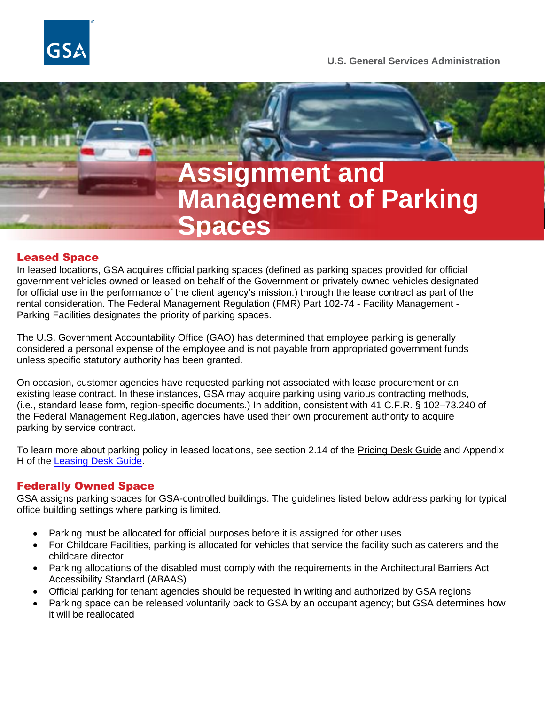



## Leased Space

In leased locations, GSA acquires official parking spaces (defined as parking spaces provided for official government vehicles owned or leased on behalf of the Government or privately owned vehicles designated for official use in the performance of the client agency's mission.) through the lease contract as part of the rental consideration. The Federal Management Regulation (FMR) Part 102-74 - Facility Management - Parking Facilities designates the priority of parking spaces.

The U.S. Government Accountability Office (GAO) has determined that employee parking is generally considered a personal expense of the employee and is not payable from appropriated government funds unless specific statutory authority has been granted.

On occasion, customer agencies have requested parking not associated with lease procurement or an existing lease contract. In these instances, GSA may acquire parking using various contracting methods, (i.e., standard lease form, region-specific documents.) In addition, consistent with 41 C.F.R. § 102–73.240 of the Federal Management Regulation, agencies have used their own procurement authority to acquire parking by service contract.

To learn more about parking policy in leased locations, see section 2.14 of the [Pricing Desk Guide](https://www.gsa.gov/cdnstatic/Pricing%20Desk%20Guide%205th%20Edition%20August%201,%202020_0.pdf) and Appendix H of the [Leasing Desk Guide.](https://www.gsa.gov/cdnstatic/LDG-AppendixH-ParkingAcquisition-Final-11-01-2013.pdf)

# Federally Owned Space

GSA assigns parking spaces for GSA-controlled buildings. The guidelines listed below address parking for typical office building settings where parking is limited.

- Parking must be allocated for official purposes before it is assigned for other uses
- For Childcare Facilities, parking is allocated for vehicles that service the facility such as caterers and the childcare director
- Parking allocations of the disabled must comply with the requirements in the Architectural Barriers Act Accessibility Standard (ABAAS)
- Official parking for tenant agencies should be requested in writing and authorized by GSA regions
- Parking space can be released voluntarily back to GSA by an occupant agency; but GSA determines how it will be reallocated